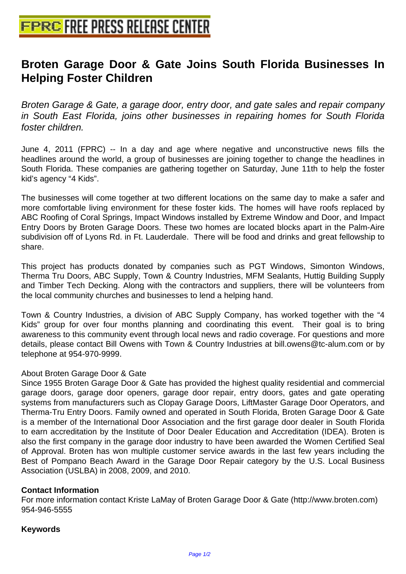## **[Broten Garage Door & Gate Join](http://www.free-press-release-center.info)s South Florida Businesses In Helping Foster Children**

Broten Garage & Gate, a garage door, entry door, and gate sales and repair company in South East Florida, joins other businesses in repairing homes for South Florida foster children.

June 4, 2011 (FPRC) -- In a day and age where negative and unconstructive news fills the headlines around the world, a group of businesses are joining together to change the headlines in South Florida. These companies are gathering together on Saturday, June 11th to help the foster kid's agency "4 Kids".

The businesses will come together at two different locations on the same day to make a safer and more comfortable living environment for these foster kids. The homes will have roofs replaced by ABC Roofing of Coral Springs, Impact Windows installed by Extreme Window and Door, and Impact Entry Doors by Broten Garage Doors. These two homes are located blocks apart in the Palm-Aire subdivision off of Lyons Rd. in Ft. Lauderdale. There will be food and drinks and great fellowship to share.

This project has products donated by companies such as PGT Windows, Simonton Windows, Therma Tru Doors, ABC Supply, Town & Country Industries, MFM Sealants, Huttig Building Supply and Timber Tech Decking. Along with the contractors and suppliers, there will be volunteers from the local community churches and businesses to lend a helping hand.

Town & Country Industries, a division of ABC Supply Company, has worked together with the "4 Kids" group for over four months planning and coordinating this event. Their goal is to bring awareness to this community event through local news and radio coverage. For questions and more details, please contact Bill Owens with Town & Country Industries at bill.owens@tc-alum.com or by telephone at 954-970-9999.

## About Broten Garage Door & Gate

Since 1955 Broten Garage Door & Gate has provided the highest quality residential and commercial garage doors, garage door openers, garage door repair, entry doors, gates and gate operating systems from manufacturers such as Clopay Garage Doors, LiftMaster Garage Door Operators, and Therma-Tru Entry Doors. Family owned and operated in South Florida, Broten Garage Door & Gate is a member of the International Door Association and the first garage door dealer in South Florida to earn accreditation by the Institute of Door Dealer Education and Accreditation (IDEA). Broten is also the first company in the garage door industry to have been awarded the Women Certified Seal of Approval. Broten has won multiple customer service awards in the last few years including the Best of Pompano Beach Award in the Garage Door Repair category by the U.S. Local Business Association (USLBA) in 2008, 2009, and 2010.

## **Contact Information**

For more information contact Kriste LaMay of Broten Garage Door & Gate (http://www.broten.com) 954-946-5555

## **Keywords**